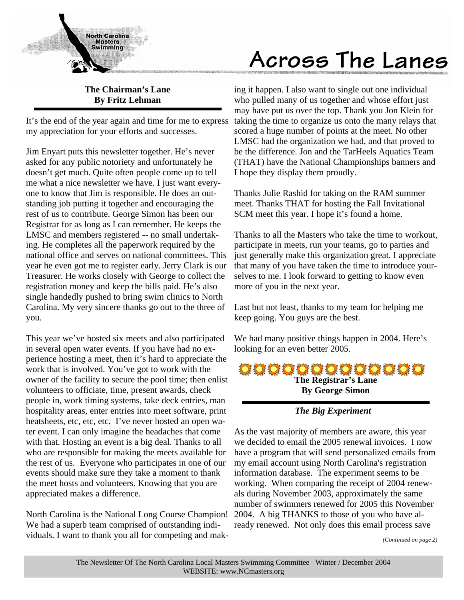

# Across The Lanes

# **The Chairman's Lane By Fritz Lehman**

It's the end of the year again and time for me to express my appreciation for your efforts and successes.

Jim Enyart puts this newsletter together. He's never asked for any public notoriety and unfortunately he doesn't get much. Quite often people come up to tell me what a nice newsletter we have. I just want everyone to know that Jim is responsible. He does an outstanding job putting it together and encouraging the rest of us to contribute. George Simon has been our Registrar for as long as I can remember. He keeps the LMSC and members registered -- no small undertaking. He completes all the paperwork required by the national office and serves on national committees. This year he even got me to register early. Jerry Clark is our Treasurer. He works closely with George to collect the registration money and keep the bills paid. He's also single handedly pushed to bring swim clinics to North Carolina. My very sincere thanks go out to the three of you.

This year we've hosted six meets and also participated in several open water events. If you have had no experience hosting a meet, then it's hard to appreciate the work that is involved. You've got to work with the owner of the facility to secure the pool time; then enlist volunteers to officiate, time, present awards, check people in, work timing systems, take deck entries, man hospitality areas, enter entries into meet software, print heatsheets, etc, etc, etc. I've never hosted an open water event. I can only imagine the headaches that come with that. Hosting an event is a big deal. Thanks to all who are responsible for making the meets available for the rest of us. Everyone who participates in one of our events should make sure they take a moment to thank the meet hosts and volunteers. Knowing that you are appreciated makes a difference.

North Carolina is the National Long Course Champion! We had a superb team comprised of outstanding individuals. I want to thank you all for competing and mak-

ing it happen. I also want to single out one individual who pulled many of us together and whose effort just may have put us over the top. Thank you Jon Klein for taking the time to organize us onto the many relays that scored a huge number of points at the meet. No other LMSC had the organization we had, and that proved to be the difference. Jon and the TarHeels Aquatics Team (THAT) have the National Championships banners and I hope they display them proudly.

Thanks Julie Rashid for taking on the RAM summer meet. Thanks THAT for hosting the Fall Invitational SCM meet this year. I hope it's found a home.

Thanks to all the Masters who take the time to workout, participate in meets, run your teams, go to parties and just generally make this organization great. I appreciate that many of you have taken the time to introduce yourselves to me. I look forward to getting to know even more of you in the next year.

Last but not least, thanks to my team for helping me keep going. You guys are the best.

We had many positive things happen in 2004. Here's looking for an even better 2005.



*The Big Experiment*

As the vast majority of members are aware, this year we decided to email the 2005 renewal invoices. I now have a program that will send personalized emails from my email account using North Carolina's registration information database. The experiment seems to be working. When comparing the receipt of 2004 renewals during November 2003, approximately the same number of swimmers renewed for 2005 this November 2004. A big THANKS to those of you who have already renewed. Not only does this email process save

*(Continued on page 2)*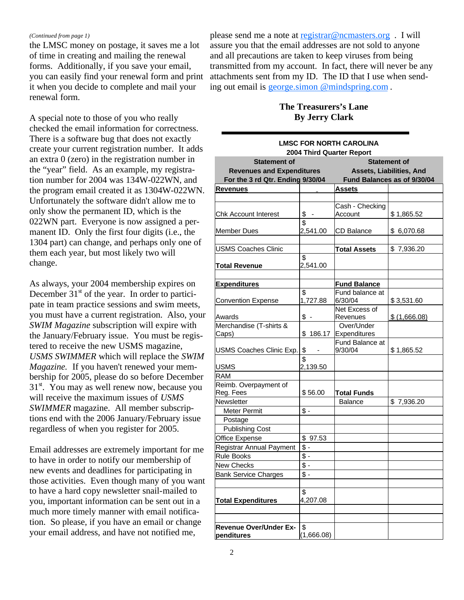#### *(Continued from page 1)*

the LMSC money on postage, it saves me a lot of time in creating and mailing the renewal forms. Additionally, if you save your email, you can easily find your renewal form and print it when you decide to complete and mail your renewal form.

A special note to those of you who really checked the email information for correctness. There is a software bug that does not exactly create your current registration number. It adds an extra 0 (zero) in the registration number in the "year" field. As an example, my registration number for 2004 was 134W-022WN, and the program email created it as 1304W-022WN. Unfortunately the software didn't allow me to only show the permanent ID, which is the 022WN part. Everyone is now assigned a permanent ID. Only the first four digits (i.e., the 1304 part) can change, and perhaps only one of them each year, but most likely two will change.

As always, your 2004 membership expires on December  $31<sup>st</sup>$  of the year. In order to participate in team practice sessions and swim meets, you must have a current registration. Also, your *SWIM Magazine* subscription will expire with the January/February issue. You must be registered to receive the new USMS magazine, *USMS SWIMMER* which will replace the *SWIM Magazine.* If you haven't renewed your membership for 2005, please do so before December  $31<sup>st</sup>$ . You may as well renew now, because you will receive the maximum issues of *USMS SWIMMER* magazine. All member subscriptions end with the 2006 January/February issue regardless of when you register for 2005.

Email addresses are extremely important for me to have in order to notify our membership of new events and deadlines for participating in those activities. Even though many of you want to have a hard copy newsletter snail-mailed to you, important information can be sent out in a much more timely manner with email notification. So please, if you have an email or change your email address, and have not notified me,

please send me a note at registrar@ncmasters.org . I will assure you that the email addresses are not sold to anyone and all precautions are taken to keep viruses from being transmitted from my account. In fact, there will never be any attachments sent from my ID. The ID that I use when sending out email is george.simon @mindspring.com .

## **The Treasurers's Lane By Jerry Clark**

|                                                         |                                | <b>LMSC FOR NORTH CAROLINA</b><br>2004 Third Quarter Report |                             |  |  |
|---------------------------------------------------------|--------------------------------|-------------------------------------------------------------|-----------------------------|--|--|
| <b>Statement of</b><br><b>Revenues and Expenditures</b> |                                | <b>Statement of</b><br>Assets, Liabilities, And             |                             |  |  |
| For the 3 rd Qtr. Ending 9/30/04                        |                                |                                                             | Fund Balances as of 9/30/04 |  |  |
| <b>Revenues</b>                                         |                                | Assets                                                      |                             |  |  |
|                                                         |                                |                                                             |                             |  |  |
| <b>Chk Account Interest</b>                             | \$<br>$\overline{\phantom{a}}$ | Cash - Checking<br>Account                                  | \$1,865.52                  |  |  |
| <b>Member Dues</b>                                      | \$<br>2,541.00                 | <b>CD Balance</b>                                           | \$ 6,070.68                 |  |  |
| <b>USMS Coaches Clinic</b>                              |                                | <b>Total Assets</b>                                         | \$7,936.20                  |  |  |
| Total Revenue                                           | \$<br>2,541.00                 |                                                             |                             |  |  |
| <b>Expenditures</b>                                     |                                | <b>Fund Balance</b>                                         |                             |  |  |
| <b>Convention Expense</b>                               | \$<br>1,727.88                 | Fund balance at<br>6/30/04                                  | \$3,531.60                  |  |  |
| Awards                                                  | $\sqrt[6]{}$ -                 | Net Excess of<br>Revenues                                   | \$ (1,666.08)               |  |  |
| Merchandise (T-shirts &<br>Caps)                        | \$<br>186.17                   | Over/Under<br>Expenditures                                  |                             |  |  |
| USMS Coaches Clinic Exp.                                | \$                             | Fund Balance at<br>9/30/04                                  | \$1,865.52                  |  |  |
| <b>USMS</b>                                             | \$<br>2,139.50                 |                                                             |                             |  |  |
| <b>RAM</b>                                              |                                |                                                             |                             |  |  |
| Reimb. Overpayment of<br>Reg. Fees                      | \$56.00                        | Total Funds                                                 |                             |  |  |
| Newsletter                                              |                                | <b>Balance</b>                                              | \$7,936.20                  |  |  |
| Meter Permit                                            | $\frac{2}{3}$                  |                                                             |                             |  |  |
| Postage                                                 |                                |                                                             |                             |  |  |
| <b>Publishing Cost</b>                                  |                                |                                                             |                             |  |  |
| Office Expense                                          | \$97.53                        |                                                             |                             |  |  |
| Registrar Annual Payment                                | $\frac{2}{3}$ -                |                                                             |                             |  |  |
| <b>Rule Books</b>                                       | $\frac{2}{3}$ -                |                                                             |                             |  |  |
| New Checks                                              | \$-                            |                                                             |                             |  |  |
| <b>Bank Service Charges</b>                             | \$                             |                                                             |                             |  |  |
|                                                         |                                |                                                             |                             |  |  |
| <b>Total Expenditures</b>                               | \$<br>4,207.08                 |                                                             |                             |  |  |
|                                                         |                                |                                                             |                             |  |  |
|                                                         |                                |                                                             |                             |  |  |
| <b>Revenue Over/Under Ex-</b><br>penditures             | \$<br>(1,666.08)               |                                                             |                             |  |  |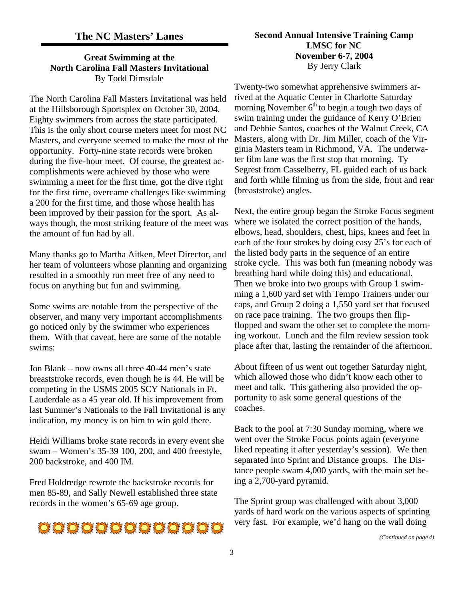## **The NC Masters' Lanes**

#### **Great Swimming at the North Carolina Fall Masters Invitational** By Todd Dimsdale

The North Carolina Fall Masters Invitational was held at the Hillsborough Sportsplex on October 30, 2004. Eighty swimmers from across the state participated. This is the only short course meters meet for most NC Masters, and everyone seemed to make the most of the opportunity. Forty-nine state records were broken during the five-hour meet. Of course, the greatest accomplishments were achieved by those who were swimming a meet for the first time, got the dive right for the first time, overcame challenges like swimming a 200 for the first time, and those whose health has been improved by their passion for the sport. As always though, the most striking feature of the meet was the amount of fun had by all.

Many thanks go to Martha Aitken, Meet Director, and her team of volunteers whose planning and organizing resulted in a smoothly run meet free of any need to focus on anything but fun and swimming.

Some swims are notable from the perspective of the observer, and many very important accomplishments go noticed only by the swimmer who experiences them. With that caveat, here are some of the notable swims:

Jon Blank – now owns all three 40-44 men's state breaststroke records, even though he is 44. He will be competing in the USMS 2005 SCY Nationals in Ft. Lauderdale as a 45 year old. If his improvement from last Summer's Nationals to the Fall Invitational is any indication, my money is on him to win gold there.

Heidi Williams broke state records in every event she swam – Women's 35-39 100, 200, and 400 freestyle, 200 backstroke, and 400 IM.

Fred Holdredge rewrote the backstroke records for men 85-89, and Sally Newell established three state records in the women's 65-69 age group.



## **Second Annual Intensive Training Camp LMSC for NC November 6-7, 2004** By Jerry Clark

Twenty-two somewhat apprehensive swimmers arrived at the Aquatic Center in Charlotte Saturday morning November  $6<sup>th</sup>$  to begin a tough two days of swim training under the guidance of Kerry O'Brien and Debbie Santos, coaches of the Walnut Creek, CA Masters, along with Dr. Jim Miller, coach of the Virginia Masters team in Richmond, VA. The underwater film lane was the first stop that morning. Ty Segrest from Casselberry, FL guided each of us back and forth while filming us from the side, front and rear (breaststroke) angles.

Next, the entire group began the Stroke Focus segment where we isolated the correct position of the hands, elbows, head, shoulders, chest, hips, knees and feet in each of the four strokes by doing easy 25's for each of the listed body parts in the sequence of an entire stroke cycle. This was both fun (meaning nobody was breathing hard while doing this) and educational. Then we broke into two groups with Group 1 swimming a 1,600 yard set with Tempo Trainers under our caps, and Group 2 doing a 1,550 yard set that focused on race pace training. The two groups then flipflopped and swam the other set to complete the morning workout. Lunch and the film review session took place after that, lasting the remainder of the afternoon.

About fifteen of us went out together Saturday night, which allowed those who didn't know each other to meet and talk. This gathering also provided the opportunity to ask some general questions of the coaches.

Back to the pool at 7:30 Sunday morning, where we went over the Stroke Focus points again (everyone liked repeating it after yesterday's session). We then separated into Sprint and Distance groups. The Distance people swam 4,000 yards, with the main set being a 2,700-yard pyramid.

The Sprint group was challenged with about 3,000 yards of hard work on the various aspects of sprinting very fast. For example, we'd hang on the wall doing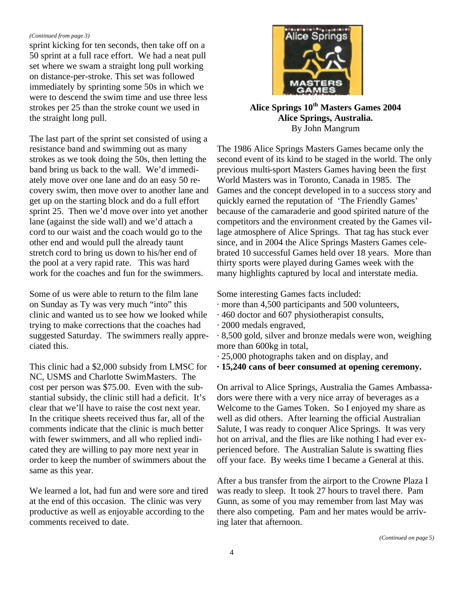#### *(Continued from page 3)*

sprint kicking for ten seconds, then take off on a 50 sprint at a full race effort. We had a neat pull set where we swam a straight long pull working on distance-per-stroke. This set was followed immediately by sprinting some 50s in which we were to descend the swim time and use three less strokes per 25 than the stroke count we used in the straight long pull.

The last part of the sprint set consisted of using a resistance band and swimming out as many strokes as we took doing the 50s, then letting the band bring us back to the wall. We'd immediately move over one lane and do an easy 50 recovery swim, then move over to another lane and get up on the starting block and do a full effort sprint 25. Then we'd move over into yet another lane (against the side wall) and we'd attach a cord to our waist and the coach would go to the other end and would pull the already taunt stretch cord to bring us down to his/her end of the pool at a very rapid rate. This was hard work for the coaches and fun for the swimmers.

Some of us were able to return to the film lane on Sunday as Ty was very much "into" this clinic and wanted us to see how we looked while trying to make corrections that the coaches had suggested Saturday. The swimmers really appreciated this.

This clinic had a \$2,000 subsidy from LMSC for NC, USMS and Charlotte SwimMasters. The cost per person was \$75.00. Even with the substantial subsidy, the clinic still had a deficit. It's clear that we'll have to raise the cost next year. In the critique sheets received thus far, all of the comments indicate that the clinic is much better with fewer swimmers, and all who replied indicated they are willing to pay more next year in order to keep the number of swimmers about the same as this year.

We learned a lot, had fun and were sore and tired at the end of this occasion. The clinic was very productive as well as enjoyable according to the comments received to date.



**Alice Springs 10th Masters Games 2004 Alice Springs, Australia.** By John Mangrum

The 1986 Alice Springs Masters Games became only the second event of its kind to be staged in the world. The only previous multi-sport Masters Games having been the first World Masters was in Toronto, Canada in 1985. The Games and the concept developed in to a success story and quickly earned the reputation of 'The Friendly Games' because of the camaraderie and good spirited nature of the competitors and the environment created by the Games village atmosphere of Alice Springs. That tag has stuck ever since, and in 2004 the Alice Springs Masters Games celebrated 10 successful Games held over 18 years. More than thirty sports were played during Games week with the many highlights captured by local and interstate media.

Some interesting Games facts included:

- · more than 4,500 participants and 500 volunteers,
- · 460 doctor and 607 physiotherapist consults,
- · 2000 medals engraved,
- · 8,500 gold, silver and bronze medals were won, weighing more than 600kg in total,
- · 25,000 photographs taken and on display, and
- **· 15,240 cans of beer consumed at opening ceremony.**

On arrival to Alice Springs, Australia the Games Ambassadors were there with a very nice array of beverages as a Welcome to the Games Token. So I enjoyed my share as well as did others. After learning the official Australian Salute, I was ready to conquer Alice Springs. It was very hot on arrival, and the flies are like nothing I had ever experienced before. The Australian Salute is swatting flies off your face. By weeks time I became a General at this.

After a bus transfer from the airport to the Crowne Plaza I was ready to sleep. It took 27 hours to travel there. Pam Gunn, as some of you may remember from last May was there also competing. Pam and her mates would be arriving later that afternoon.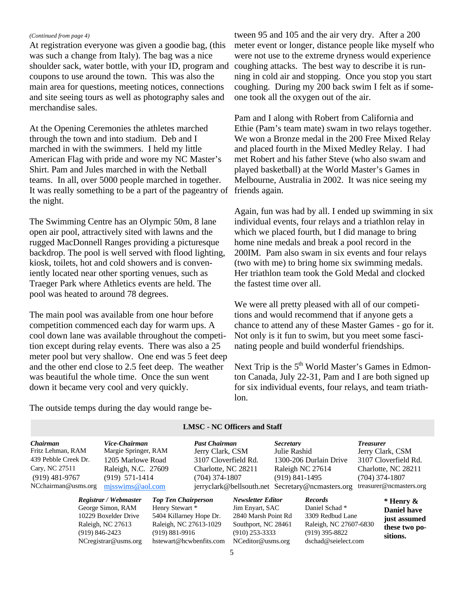#### *(Continued from page 4)*

At registration everyone was given a goodie bag, (this was such a change from Italy). The bag was a nice shoulder sack, water bottle, with your ID, program and coupons to use around the town. This was also the main area for questions, meeting notices, connections and site seeing tours as well as photography sales and merchandise sales.

At the Opening Ceremonies the athletes marched through the town and into stadium. Deb and I marched in with the swimmers. I held my little American Flag with pride and wore my NC Master's Shirt. Pam and Jules marched in with the Netball teams. In all, over 5000 people marched in together. It was really something to be a part of the pageantry of the night.

The Swimming Centre has an Olympic 50m, 8 lane open air pool, attractively sited with lawns and the rugged MacDonnell Ranges providing a picturesque backdrop. The pool is well served with flood lighting, kiosk, toilets, hot and cold showers and is conveniently located near other sporting venues, such as Traeger Park where Athletics events are held. The pool was heated to around 78 degrees.

The main pool was available from one hour before competition commenced each day for warm ups. A cool down lane was available throughout the competition except during relay events. There was also a 25 meter pool but very shallow. One end was 5 feet deep and the other end close to 2.5 feet deep. The weather was beautiful the whole time. Once the sun went down it became very cool and very quickly.

tween 95 and 105 and the air very dry. After a 200 meter event or longer, distance people like myself who were not use to the extreme dryness would experience coughing attacks. The best way to describe it is running in cold air and stopping. Once you stop you start coughing. During my 200 back swim I felt as if someone took all the oxygen out of the air.

Pam and I along with Robert from California and Ethie (Pam's team mate) swam in two relays together. We won a Bronze medal in the 200 Free Mixed Relay and placed fourth in the Mixed Medley Relay. I had met Robert and his father Steve (who also swam and played basketball) at the World Master's Games in Melbourne, Australia in 2002. It was nice seeing my friends again.

Again, fun was had by all. I ended up swimming in six individual events, four relays and a triathlon relay in which we placed fourth, but I did manage to bring home nine medals and break a pool record in the 200IM. Pam also swam in six events and four relays (two with me) to bring home six swimming medals. Her triathlon team took the Gold Medal and clocked the fastest time over all.

We were all pretty pleased with all of our competitions and would recommend that if anyone gets a chance to attend any of these Master Games - go for it. Not only is it fun to swim, but you meet some fascinating people and build wonderful friendships.

Next Trip is the  $5<sup>th</sup>$  World Master's Games in Edmonton Canada, July 22-31, Pam and I are both signed up for six individual events, four relays, and team triathlon.

The outside temps during the day would range be-

| Chairman<br>Fritz Lehman, RAM | Vice-Chairman<br>Margie Springer, RAM |                            | <b>Past Chairman</b><br>Jerry Clark, CSM |                          | <i>Secretary</i><br>Julie Rashid |                                                  | <b>Treasurer</b><br>Jerry Clark, CSM |  |
|-------------------------------|---------------------------------------|----------------------------|------------------------------------------|--------------------------|----------------------------------|--------------------------------------------------|--------------------------------------|--|
| 439 Pebble Creek Dr.          | 1205 Marlowe Road                     |                            | 3107 Cloverfield Rd.                     |                          |                                  | 1300-206 Durlain Drive                           | 3107 Cloverfield Rd.                 |  |
| Cary, NC 27511                | Raleigh, N.C. 27609                   |                            | Charlotte, NC 28211                      |                          |                                  | Raleigh NC 27614                                 | Charlotte, NC 28211                  |  |
| $(919)$ 481-9767              | $(919)$ 571-1414                      |                            | $(704)$ 374-1807                         |                          | $(919)$ 841-1495                 |                                                  | $(704)$ 374-1807                     |  |
| NCchairman@usms.org           | mjsswims@aol.com                      |                            |                                          |                          |                                  | jerryclark@bellsouth.net Secretary@ncmasters.org | treasurer@ncmasters.org              |  |
|                               | Registrar / Webmaster                 | <b>Top Ten Chairperson</b> |                                          | <b>Newsletter Editor</b> |                                  | <b>Records</b>                                   | $*$ Henry $\&$                       |  |
|                               | George Simon, RAM                     | Henry Stewart *            |                                          | Jim Enyart, SAC          |                                  | Daniel Schad*                                    | <b>Daniel have</b>                   |  |

#### **LMSC - NC Officers and Staff**

10229 Boxelder Drive 5404 Killarney Hope Dr. 2840 Marsh Point Rd 3309 Redbud Lane Raleigh, NC 27613 Raleigh, NC 27613-1029 Southport, NC 28461 Raleigh, NC 27607-6830 (919) 846-2423 (919) 881-9916 (910) 253-3333 (919) 395-8822 NCregistrar@usms.org hstewart@hcwbenfits.com NCeditor@usms.org dschad@seielect.com

**Daniel have just assumed these two positions.**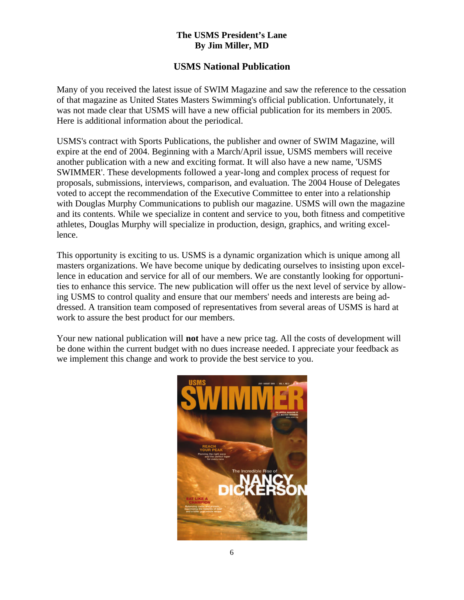## **The USMS President's Lane By Jim Miller, MD**

# **USMS National Publication**

Many of you received the latest issue of SWIM Magazine and saw the reference to the cessation of that magazine as United States Masters Swimming's official publication. Unfortunately, it was not made clear that USMS will have a new official publication for its members in 2005. Here is additional information about the periodical.

USMS's contract with Sports Publications, the publisher and owner of SWIM Magazine, will expire at the end of 2004. Beginning with a March/April issue, USMS members will receive another publication with a new and exciting format. It will also have a new name, 'USMS SWIMMER'. These developments followed a year-long and complex process of request for proposals, submissions, interviews, comparison, and evaluation. The 2004 House of Delegates voted to accept the recommendation of the Executive Committee to enter into a relationship with Douglas Murphy Communications to publish our magazine. USMS will own the magazine and its contents. While we specialize in content and service to you, both fitness and competitive athletes, Douglas Murphy will specialize in production, design, graphics, and writing excellence.

This opportunity is exciting to us. USMS is a dynamic organization which is unique among all masters organizations. We have become unique by dedicating ourselves to insisting upon excellence in education and service for all of our members. We are constantly looking for opportunities to enhance this service. The new publication will offer us the next level of service by allowing USMS to control quality and ensure that our members' needs and interests are being addressed. A transition team composed of representatives from several areas of USMS is hard at work to assure the best product for our members.

Your new national publication will **not** have a new price tag. All the costs of development will be done within the current budget with no dues increase needed. I appreciate your feedback as we implement this change and work to provide the best service to you.

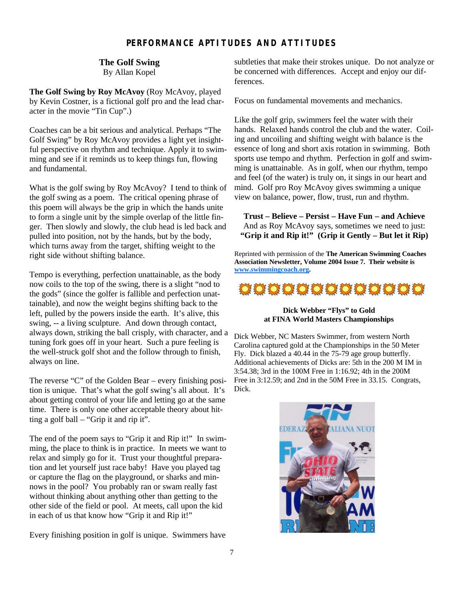## **PERFORMANCE APTITUDES AND ATTITUDES**

#### **The Golf Swing**

By Allan Kopel

**The Golf Swing by Roy McAvoy** (Roy McAvoy, played by Kevin Costner, is a fictional golf pro and the lead character in the movie "Tin Cup".)

Coaches can be a bit serious and analytical. Perhaps "The Golf Swing" by Roy McAvoy provides a light yet insightful perspective on rhythm and technique. Apply it to swimming and see if it reminds us to keep things fun, flowing and fundamental.

What is the golf swing by Roy McAvoy? I tend to think of the golf swing as a poem. The critical opening phrase of this poem will always be the grip in which the hands unite to form a single unit by the simple overlap of the little finger. Then slowly and slowly, the club head is led back and pulled into position, not by the hands, but by the body, which turns away from the target, shifting weight to the right side without shifting balance.

Tempo is everything, perfection unattainable, as the body now coils to the top of the swing, there is a slight "nod to the gods" (since the golfer is fallible and perfection unattainable), and now the weight begins shifting back to the left, pulled by the powers inside the earth. It's alive, this swing, -- a living sculpture. And down through contact, always down, striking the ball crisply, with character, and a tuning fork goes off in your heart. Such a pure feeling is the well-struck golf shot and the follow through to finish, always on line.

The reverse "C" of the Golden Bear – every finishing position is unique. That's what the golf swing's all about. It's about getting control of your life and letting go at the same time. There is only one other acceptable theory about hitting a golf ball – "Grip it and rip it".

The end of the poem says to "Grip it and Rip it!" In swimming, the place to think is in practice. In meets we want to relax and simply go for it. Trust your thoughtful preparation and let yourself just race baby! Have you played tag or capture the flag on the playground, or sharks and minnows in the pool? You probably ran or swam really fast without thinking about anything other than getting to the other side of the field or pool. At meets, call upon the kid in each of us that know how "Grip it and Rip it!"

Every finishing position in golf is unique. Swimmers have

subtleties that make their strokes unique. Do not analyze or be concerned with differences. Accept and enjoy our differences.

Focus on fundamental movements and mechanics.

Like the golf grip, swimmers feel the water with their hands. Relaxed hands control the club and the water. Coiling and uncoiling and shifting weight with balance is the essence of long and short axis rotation in swimming. Both sports use tempo and rhythm. Perfection in golf and swimming is unattainable. As in golf, when our rhythm, tempo and feel (of the water) is truly on, it sings in our heart and mind. Golf pro Roy McAvoy gives swimming a unique view on balance, power, flow, trust, run and rhythm.

**Trust – Believe – Persist – Have Fun – and Achieve** And as Roy McAvoy says, sometimes we need to just: **"Grip it and Rip it!" (Grip it Gently – But let it Rip)**

Reprinted with permission of the **The American Swimming Coaches Association Newsletter, Volume 2004 Issue 7. Their website is www.swimmingcoach.org.**



#### **Dick Webber "Flys" to Gold at FINA World Masters Championships**

Dick Webber, NC Masters Swimmer, from western North Carolina captured gold at the Championships in the 50 Meter Fly. Dick blazed a 40.44 in the 75-79 age group butterfly. Additional achievements of Dicks are: 5th in the 200 M IM in 3:54.38; 3rd in the 100M Free in 1:16.92; 4th in the 200M Free in 3:12.59; and 2nd in the 50M Free in 33.15. Congrats, Dick.

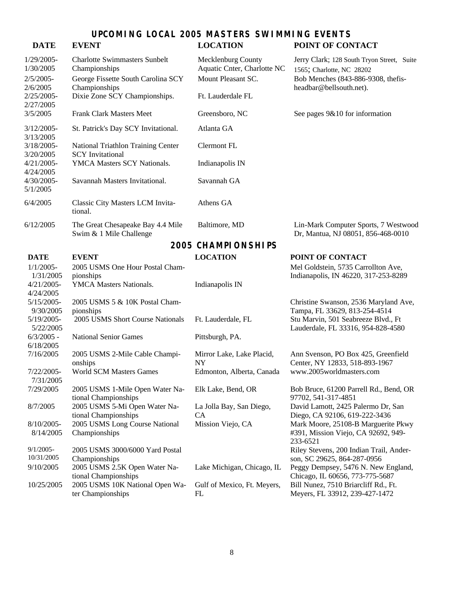# **UPCOMING LOCAL 2005 MASTERS SWIMMING EVENTS**

## **DATE EVENT LOCATION POINT OF CONTACT**

| 1/29/2005-<br>1/30/2005             | <b>Charlotte Swimmasters Sunbelt</b><br>Championships         | Mecklenburg County<br>Aquatic Cnter, Charlotte NC | Jerry Clark; 128 South Tryon Street, Suite<br>1565; Charlotte, NC 28202    |
|-------------------------------------|---------------------------------------------------------------|---------------------------------------------------|----------------------------------------------------------------------------|
| 2/5/2005-                           | George Fissette South Carolina SCY                            | Mount Pleasant SC.                                | Bob Menches (843-886-9308, the fis-                                        |
| 2/6/2005<br>2/25/2005-<br>2/27/2005 | Championships<br>Dixie Zone SCY Championships.                | Ft. Lauderdale FL                                 | headbar@bellsouth.net).                                                    |
| 3/5/2005                            | <b>Frank Clark Masters Meet</b>                               | Greensboro, NC                                    | See pages $9&10$ for information                                           |
| 3/12/2005-<br>3/13/2005             | St. Patrick's Day SCY Invitational.                           | Atlanta GA                                        |                                                                            |
| 3/18/2005-<br>3/20/2005             | National Triathlon Training Center<br><b>SCY</b> Invitational | Clermont FL                                       |                                                                            |
| 4/21/2005-<br>4/24/2005             | YMCA Masters SCY Nationals.                                   | Indianapolis IN                                   |                                                                            |
| 4/30/2005-<br>5/1/2005              | Savannah Masters Invitational.                                | Savannah GA                                       |                                                                            |
| 6/4/2005                            | Classic City Masters LCM Invita-<br>tional.                   | Athens GA                                         |                                                                            |
| 6/12/2005                           | The Great Chesapeake Bay 4.4 Mile<br>Swim & 1 Mile Challenge  | Baltimore, MD                                     | Lin-Mark Computer Sports, 7 Westwood<br>Dr, Mantua, NJ 08051, 856-468-0010 |
|                                     |                                                               | <b>2005 CHAMPIONSHIPS</b>                         |                                                                            |
| <b>DATE</b>                         | <b>EVENT</b>                                                  | <b>LOCATION</b>                                   | POINT OF CONTACT                                                           |
| $1/1/2005-$                         | 2005 USMS One Hour Postal Cham-                               |                                                   | Mel Goldstein, 5735 Carrollton Ave,                                        |
| 1/31/2005                           | pionships                                                     |                                                   | Indianapolis, IN 46220, 317-253-8289                                       |
| $4/21/2005$ -<br>4/24/2005          | YMCA Masters Nationals.                                       | Indianapolis IN                                   |                                                                            |
| 5/15/2005-                          | 2005 USMS 5 & 10K Postal Cham-                                |                                                   | Christine Swanson, 2536 Maryland Ave,                                      |
| 9/30/2005                           | pionships                                                     |                                                   | Tampa, FL 33629, 813-254-4514                                              |
| 5/19/2005-<br>5/22/2005             | 2005 USMS Short Course Nationals                              | Ft. Lauderdale, FL                                | Stu Marvin, 501 Seabreeze Blvd., Ft<br>Lauderdale, FL 33316, 954-828-4580  |
| $6/3/2005$ -                        | <b>National Senior Games</b>                                  | Pittsburgh, PA.                                   |                                                                            |
| 6/18/2005<br>7/16/2005              | 2005 USMS 2-Mile Cable Champi-                                | Mirror Lake, Lake Placid,                         | Ann Svenson, PO Box 425, Greenfield                                        |
|                                     | onships                                                       | <b>NY</b>                                         | Center, NY 12833, 518-893-1967                                             |
| 7/22/2005-<br>7/31/2005             | <b>World SCM Masters Games</b>                                | Edmonton, Alberta, Canada                         | www.2005worldmasters.com                                                   |
| 7/29/2005                           | 2005 USMS 1-Mile Open Water Na-<br>tional Championships       | Elk Lake, Bend, OR                                | Bob Bruce, 61200 Parrell Rd., Bend, OR<br>97702, 541-317-4851              |
| 8/7/2005                            | 2005 USMS 5-Mi Open Water Na-<br>tional Championships         | La Jolla Bay, San Diego,<br><b>CA</b>             | David Lamott, 2425 Palermo Dr, San<br>Diego, CA 92106, 619-222-3436        |
| 8/10/2005-                          | 2005 USMS Long Course National                                | Mission Viejo, CA                                 | Mark Moore, 25108-B Marguerite Pkwy                                        |
| 8/14/2005                           | Championships                                                 |                                                   | #391, Mission Viejo, CA 92692, 949-<br>233-6521                            |
| $9/1/2005 -$                        | 2005 USMS 3000/6000 Yard Postal                               |                                                   | Riley Stevens, 200 Indian Trail, Ander-                                    |
| 10/31/2005                          | Championships                                                 |                                                   | son, SC 29625, 864-287-0956                                                |
| 9/10/2005                           | 2005 USMS 2.5K Open Water Na-<br>tional Championships         | Lake Michigan, Chicago, IL                        | Peggy Dempsey, 5476 N. New England,<br>Chicago, IL 60656, 773-775-5687     |
| 10/25/2005                          | 2005 USMS 10K National Open Wa-<br>ter Championships          | Gulf of Mexico, Ft. Meyers,<br>FL                 | Bill Nunez, 7510 Briarcliff Rd., Ft.<br>Meyers, FL 33912, 239-427-1472     |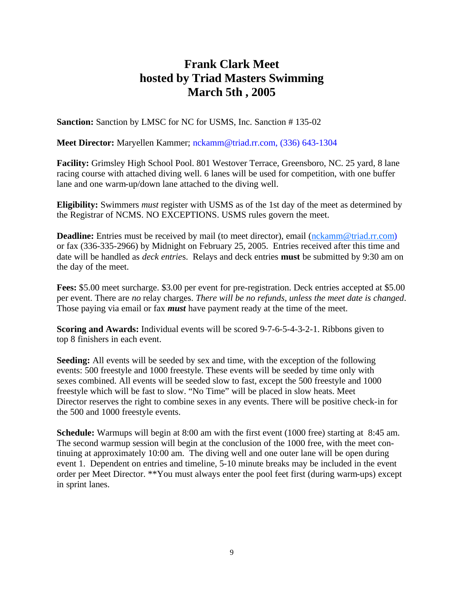# **Frank Clark Meet hosted by Triad Masters Swimming March 5th , 2005**

**Sanction:** Sanction by LMSC for NC for USMS, Inc. Sanction #135-02

#### **Meet Director:** Maryellen Kammer; nckamm@triad.rr.com, (336) 643-1304

**Facility:** Grimsley High School Pool. 801 Westover Terrace, Greensboro, NC. 25 yard, 8 lane racing course with attached diving well. 6 lanes will be used for competition, with one buffer lane and one warm-up/down lane attached to the diving well.

**Eligibility:** Swimmers *must* register with USMS as of the 1st day of the meet as determined by the Registrar of NCMS. NO EXCEPTIONS. USMS rules govern the meet.

**Deadline:** Entries must be received by mail (to meet director), email (nckamm@triad.rr.com) or fax (336-335-2966) by Midnight on February 25, 2005. Entries received after this time and date will be handled as *deck entrie*s. Relays and deck entries **must** be submitted by 9:30 am on the day of the meet.

**Fees:** \$5.00 meet surcharge. \$3.00 per event for pre-registration. Deck entries accepted at \$5.00 per event. There are *no* relay charges. *There will be no refunds, unless the meet date is changed*. Those paying via email or fax *must* have payment ready at the time of the meet.

**Scoring and Awards:** Individual events will be scored 9-7-6-5-4-3-2-1. Ribbons given to top 8 finishers in each event.

**Seeding:** All events will be seeded by sex and time, with the exception of the following events: 500 freestyle and 1000 freestyle. These events will be seeded by time only with sexes combined. All events will be seeded slow to fast, except the 500 freestyle and 1000 freestyle which will be fast to slow. "No Time" will be placed in slow heats. Meet Director reserves the right to combine sexes in any events. There will be positive check-in for the 500 and 1000 freestyle events.

**Schedule:** Warmups will begin at 8:00 am with the first event (1000 free) starting at 8:45 am. The second warmup session will begin at the conclusion of the 1000 free, with the meet continuing at approximately 10:00 am. The diving well and one outer lane will be open during event 1. Dependent on entries and timeline, 5-10 minute breaks may be included in the event order per Meet Director. \*\*You must always enter the pool feet first (during warm-ups) except in sprint lanes.